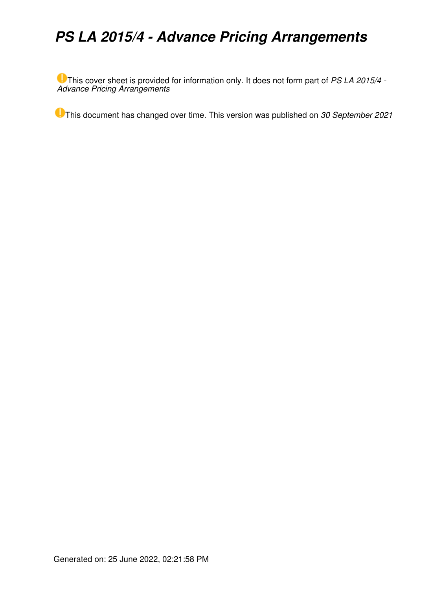# *PS LA 2015/4 - Advance Pricing Arrangements*

This cover sheet is provided for information only. It does not form part of *PS LA 2015/4 - Advance Pricing Arrangements*

This document has changed over time. This version was published on *30 September 2021*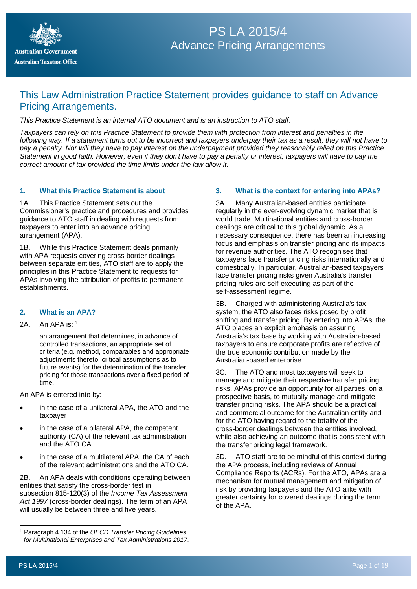

# PS LA 2015/4 **Advance Pricing Arrangements**

# This Law Administration Practice Statement provides guidance to staff on Advance Pricing Arrangements.

*This Practice Statement is an internal ATO document and is an instruction to ATO staff.*

*Taxpayers can rely on this Practice Statement to provide them with protection from interest and penalties in the following way. If a statement turns out to be incorrect and taxpayers underpay their tax as a result, they will not have to pay a penalty. Nor will they have to pay interest on the underpayment provided they reasonably relied on this Practice Statement in good faith. However, even if they don't have to pay a penalty or interest, taxpayers will have to pay the correct amount of tax provided the time limits under the law allow it.*

## **1. What this Practice Statement is about**

1A. This Practice Statement sets out the Commissioner's practice and procedures and provides guidance to ATO staff in dealing with requests from taxpayers to enter into an advance pricing arrangement (APA).

1B. While this Practice Statement deals primarily with APA requests covering cross-border dealings between separate entities, ATO staff are to apply the principles in this Practice Statement to requests for APAs involving the attribution of profits to permanent establishments.

# **2. What is an APA?**

## 2A. An APA is: [1](#page-1-0)

an arrangement that determines, in advance of controlled transactions, an appropriate set of criteria (e.g. method, comparables and appropriate adjustments thereto, critical assumptions as to future events) for the determination of the transfer pricing for those transactions over a fixed period of time.

An APA is entered into by:

- in the case of a unilateral APA, the ATO and the taxpayer
- in the case of a bilateral APA, the competent authority (CA) of the relevant tax administration and the ATO CA
- in the case of a multilateral APA, the CA of each of the relevant administrations and the ATO CA.

2B. An APA deals with conditions operating between entities that satisfy the cross-border test in subsection 815-120(3) of the *Income Tax Assessment Act 1997* (cross-border dealings). The term of an APA will usually be between three and five years.

# **3. What is the context for entering into APAs?**

3A. Many Australian-based entities participate regularly in the ever-evolving dynamic market that is world trade. Multinational entities and cross-border dealings are critical to this global dynamic. As a necessary consequence, there has been an increasing focus and emphasis on transfer pricing and its impacts for revenue authorities. The ATO recognises that taxpayers face transfer pricing risks internationally and domestically. In particular, Australian-based taxpayers face transfer pricing risks given Australia's transfer pricing rules are self-executing as part of the self-assessment regime.

3B. Charged with administering Australia's tax system, the ATO also faces risks posed by profit shifting and transfer pricing. By entering into APAs, the ATO places an explicit emphasis on assuring Australia's tax base by working with Australian-based taxpayers to ensure corporate profits are reflective of the true economic contribution made by the Australian-based enterprise.

3C. The ATO and most taxpayers will seek to manage and mitigate their respective transfer pricing risks. APAs provide an opportunity for all parties, on a prospective basis, to mutually manage and mitigate transfer pricing risks. The APA should be a practical and commercial outcome for the Australian entity and for the ATO having regard to the totality of the cross-border dealings between the entities involved, while also achieving an outcome that is consistent with the transfer pricing legal framework.

3D. ATO staff are to be mindful of this context during the APA process, including reviews of Annual Compliance Reports (ACRs). For the ATO, APAs are a mechanism for mutual management and mitigation of risk by providing taxpayers and the ATO alike with greater certainty for covered dealings during the term of the APA.

<span id="page-1-0"></span><sup>1</sup> Paragraph 4.134 of the *OECD Transfer Pricing Guidelines for Multinational Enterprises and Tax Administrations 2017*.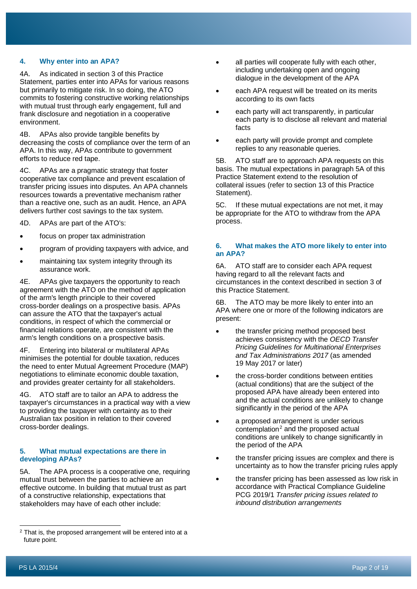# **4. Why enter into an APA?**

4A. As indicated in section 3 of this Practice Statement, parties enter into APAs for various reasons but primarily to mitigate risk. In so doing, the ATO commits to fostering constructive working relationships with mutual trust through early engagement, full and frank disclosure and negotiation in a cooperative environment.

4B. APAs also provide tangible benefits by decreasing the costs of compliance over the term of an APA. In this way, APAs contribute to government efforts to reduce red tape.

4C. APAs are a pragmatic strategy that foster cooperative tax compliance and prevent escalation of transfer pricing issues into disputes. An APA channels resources towards a preventative mechanism rather than a reactive one, such as an audit. Hence, an APA delivers further cost savings to the tax system.

4D. APAs are part of the ATO's:

- focus on proper tax administration
- program of providing taxpayers with advice, and
- maintaining tax system integrity through its assurance work.

4E. APAs give taxpayers the opportunity to reach agreement with the ATO on the method of application of the arm's length principle to their covered cross-border dealings on a prospective basis. APAs can assure the ATO that the taxpayer's actual conditions, in respect of which the commercial or financial relations operate, are consistent with the arm's length conditions on a prospective basis.

4F. Entering into bilateral or multilateral APAs minimises the potential for double taxation, reduces the need to enter Mutual Agreement Procedure (MAP) negotiations to eliminate economic double taxation, and provides greater certainty for all stakeholders.

4G. ATO staff are to tailor an APA to address the taxpayer's circumstances in a practical way with a view to providing the taxpayer with certainty as to their Australian tax position in relation to their covered cross-border dealings.

#### **5. What mutual expectations are there in developing APAs?**

5A. The APA process is a cooperative one, requiring mutual trust between the parties to achieve an effective outcome. In building that mutual trust as part of a constructive relationship, expectations that stakeholders may have of each other include:

- all parties will cooperate fully with each other, including undertaking open and ongoing dialogue in the development of the APA
- each APA request will be treated on its merits according to its own facts
- each party will act transparently, in particular each party is to disclose all relevant and material facts
- each party will provide prompt and complete replies to any reasonable queries.

5B. ATO staff are to approach APA requests on this basis. The mutual expectations in paragraph 5A of this Practice Statement extend to the resolution of collateral issues (refer to section 13 of this Practice Statement).

5C. If these mutual expectations are not met, it may be appropriate for the ATO to withdraw from the APA process.

## **6. What makes the ATO more likely to enter into an APA?**

6A. ATO staff are to consider each APA request having regard to all the relevant facts and circumstances in the context described in section 3 of this Practice Statement.

6B. The ATO may be more likely to enter into an APA where one or more of the following indicators are present:

- the transfer pricing method proposed best achieves consistency with the *OECD Transfer Pricing Guidelines for Multinational Enterprises and Tax Administrations 2017* (as amended 19 May 2017 or later)
- the cross-border conditions between entities (actual conditions) that are the subject of the proposed APA have already been entered into and the actual conditions are unlikely to change significantly in the period of the APA
- a proposed arrangement is under serious contemplation<sup>[2](#page-2-0)</sup> and the proposed actual conditions are unlikely to change significantly in the period of the APA
- the transfer pricing issues are complex and there is uncertainty as to how the transfer pricing rules apply
- the transfer pricing has been assessed as low risk in accordance with Practical Compliance Guideline PCG 2019/1 *Transfer pricing issues related to inbound distribution arrangements*

<span id="page-2-0"></span><sup>&</sup>lt;sup>2</sup> That is, the proposed arrangement will be entered into at a future point.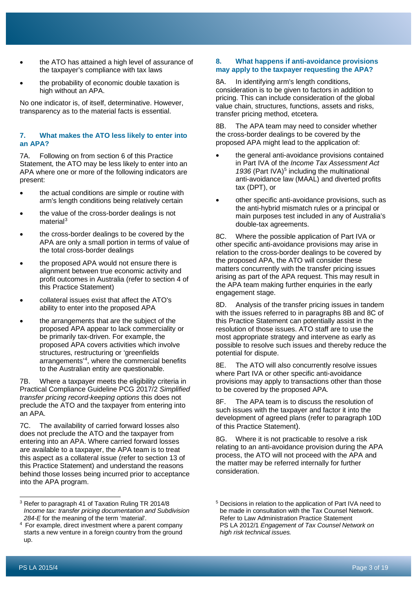- the ATO has attained a high level of assurance of the taxpayer's compliance with tax laws
- the probability of economic double taxation is high without an APA.

No one indicator is, of itself, determinative. However, transparency as to the material facts is essential.

# **7. What makes the ATO less likely to enter into an APA?**

7A. Following on from section 6 of this Practice Statement, the ATO may be less likely to enter into an APA where one or more of the following indicators are present:

- the actual conditions are simple or routine with arm's length conditions being relatively certain
- the value of the cross-border dealings is not material $3$
- the cross-border dealings to be covered by the APA are only a small portion in terms of value of the total cross-border dealings
- the proposed APA would not ensure there is alignment between true economic activity and profit outcomes in Australia (refer to section 4 of this Practice Statement)
- collateral issues exist that affect the ATO's ability to enter into the proposed APA
- the arrangements that are the subject of the proposed APA appear to lack commerciality or be primarily tax-driven. For example, the proposed APA covers activities which involve structures, restructuring or 'greenfields arrangements' [4,](#page-3-1) where the commercial benefits to the Australian entity are questionable.

7B. Where a taxpayer meets the eligibility criteria in Practical Compliance Guideline PCG 2017/2 *Simplified transfer pricing record-keeping options* this does not preclude the ATO and the taxpayer from entering into an APA.

7C. The availability of carried forward losses also does not preclude the ATO and the taxpayer from entering into an APA. Where carried forward losses are available to a taxpayer, the APA team is to treat this aspect as a collateral issue (refer to section 13 of this Practice Statement) and understand the reasons behind those losses being incurred prior to acceptance into the APA program.

#### **8. What happens if anti-avoidance provisions may apply to the taxpayer requesting the APA?**

8A. In identifying arm's length conditions, consideration is to be given to factors in addition to pricing. This can include consideration of the global value chain, structures, functions, assets and risks, transfer pricing method, etcetera.

8B. The APA team may need to consider whether the cross-border dealings to be covered by the proposed APA might lead to the application of:

- the general anti-avoidance provisions contained in Part IVA of the *Income Tax Assessment Act*  1936 (Part IVA)<sup>[5](#page-3-0)</sup> including the multinational anti-avoidance law (MAAL) and diverted profits tax (DPT), or
- other specific anti-avoidance provisions, such as the anti-hybrid mismatch rules or a principal or main purposes test included in any of Australia's double-tax agreements.

8C. Where the possible application of Part IVA or other specific anti-avoidance provisions may arise in relation to the cross-border dealings to be covered by the proposed APA, the ATO will consider these matters concurrently with the transfer pricing issues arising as part of the APA request. This may result in the APA team making further enquiries in the early engagement stage.

8D. Analysis of the transfer pricing issues in tandem with the issues referred to in paragraphs 8B and 8C of this Practice Statement can potentially assist in the resolution of those issues. ATO staff are to use the most appropriate strategy and intervene as early as possible to resolve such issues and thereby reduce the potential for dispute.

8E. The ATO will also concurrently resolve issues where Part IVA or other specific anti-avoidance provisions may apply to transactions other than those to be covered by the proposed APA.

8F. The APA team is to discuss the resolution of such issues with the taxpayer and factor it into the development of agreed plans (refer to paragraph 10D of this Practice Statement).

8G. Where it is not practicable to resolve a risk relating to an anti-avoidance provision during the APA process, the ATO will not proceed with the APA and the matter may be referred internally for further consideration.

<span id="page-3-0"></span><sup>3</sup> Refer to paragraph 41 of Taxation Ruling TR 2014/8 *Income tax: transfer pricing documentation and Subdivision 284-E* for the meaning of the term 'material'.

<span id="page-3-1"></span><sup>4</sup> For example, direct investment where a parent company starts a new venture in a foreign country from the ground up.

<sup>5</sup> Decisions in relation to the application of Part IVA need to be made in consultation with the Tax Counsel Network. Refer to Law Administration Practice Statement PS LA 2012/1 *Engagement of Tax Counsel Network on high risk technical issues.*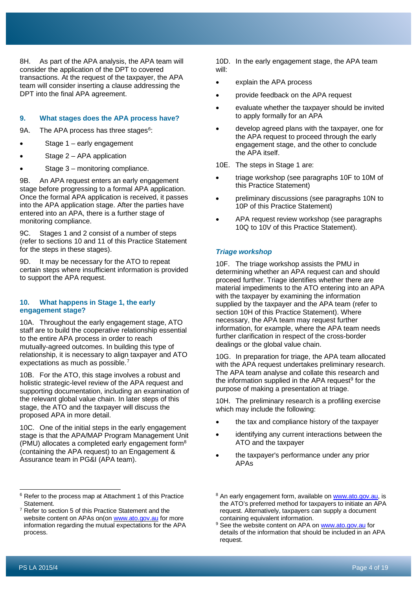8H. As part of the APA analysis, the APA team will consider the application of the DPT to covered transactions. At the request of the taxpayer, the APA team will consider inserting a clause addressing the DPT into the final APA agreement.

# **9. What stages does the APA process have?**

9A. The APA process has three stages<sup>[6](#page-4-0)</sup>:

- Stage 1 early engagement
- Stage  $2 APA$  application
- Stage 3 monitoring compliance.

9B. An APA request enters an early engagement stage before progressing to a formal APA application. Once the formal APA application is received, it passes into the APA application stage. After the parties have entered into an APA, there is a further stage of monitoring compliance.

9C. Stages 1 and 2 consist of a number of steps (refer to sections 10 and 11 of this Practice Statement for the steps in these stages).

9D. It may be necessary for the ATO to repeat certain steps where insufficient information is provided to support the APA request.

#### **10. What happens in Stage 1, the early engagement stage?**

10A. Throughout the early engagement stage, ATO staff are to build the cooperative relationship essential to the entire APA process in order to reach mutually-agreed outcomes. In building this type of relationship, it is necessary to align taxpayer and ATO expectations as much as possible.<sup>[7](#page-4-1)</sup>

10B. For the ATO, this stage involves a robust and holistic strategic-level review of the APA request and supporting documentation, including an examination of the relevant global value chain. In later steps of this stage, the ATO and the taxpayer will discuss the proposed APA in more detail.

10C. One of the initial steps in the early engagement stage is that the APA/MAP Program Management Unit (PMU) allocates a completed early engagement form[8](#page-4-0) (containing the APA request) to an Engagement & Assurance team in PG&I (APA team).

10D. In the early engagement stage, the APA team will:

- explain the APA process
- provide feedback on the APA request
- evaluate whether the taxpayer should be invited to apply formally for an APA
- develop agreed plans with the taxpayer, one for the APA request to proceed through the early engagement stage, and the other to conclude the APA itself.
- 10E. The steps in Stage 1 are:
- triage workshop (see paragraphs 10F to 10M of this Practice Statement)
- preliminary discussions (see paragraphs 10N to 10P of this Practice Statement)
- APA request review workshop (see paragraphs 10Q to 10V of this Practice Statement).

# *Triage workshop*

10F. The triage workshop assists the PMU in determining whether an APA request can and should proceed further. Triage identifies whether there are material impediments to the ATO entering into an APA with the taxpayer by examining the information supplied by the taxpayer and the APA team (refer to section 10H of this Practice Statement). Where necessary, the APA team may request further information, for example, where the APA team needs further clarification in respect of the cross-border dealings or the global value chain.

10G. In preparation for triage, the APA team allocated with the APA request undertakes preliminary research. The APA team analyse and collate this research and the information supplied in the APA request<sup>[9](#page-4-2)</sup> for the purpose of making a presentation at triage.

10H. The preliminary research is a profiling exercise which may include the following:

- the tax and compliance history of the taxpayer
- identifying any current interactions between the ATO and the taxpayer
- the taxpayer's performance under any prior APAs

<span id="page-4-0"></span><sup>&</sup>lt;sup>6</sup> Refer to the process map at Attachment 1 of this Practice Statement.

<span id="page-4-2"></span><span id="page-4-1"></span>Refer to section 5 of this Practice Statement and the website content on APAs on(on [www.ato.gov.au](http://www.ato.gov.au/) for more information regarding the mutual expectations for the APA process.

<sup>8</sup> An early engagement form, available o[n www.ato.gov.au,](http://www.ato.gov.au/) is the ATO's preferred method for taxpayers to initiate an APA request. Alternatively, taxpayers can supply a document containing equivalent information.

<sup>&</sup>lt;sup>9</sup> See the website content on APA on [www.ato.gov.au](http://www.ato.gov.au/) for details of the information that should be included in an APA request.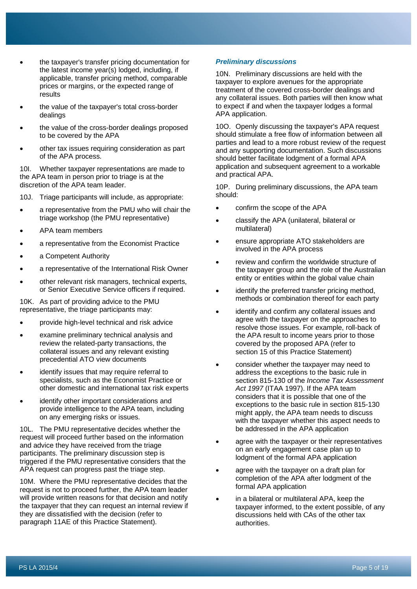- the taxpayer's transfer pricing documentation for the latest income year(s) lodged, including, if applicable, transfer pricing method, comparable prices or margins, or the expected range of results
- the value of the taxpayer's total cross-border dealings
- the value of the cross-border dealings proposed to be covered by the APA
- other tax issues requiring consideration as part of the APA process.

10I. Whether taxpayer representations are made to the APA team in person prior to triage is at the discretion of the APA team leader.

10J. Triage participants will include, as appropriate:

- a representative from the PMU who will chair the triage workshop (the PMU representative)
- APA team members
- a representative from the Economist Practice
- a Competent Authority
- a representative of the International Risk Owner
- other relevant risk managers, technical experts, or Senior Executive Service officers if required.

10K. As part of providing advice to the PMU representative, the triage participants may:

- provide high-level technical and risk advice
- examine preliminary technical analysis and review the related-party transactions, the collateral issues and any relevant existing precedential ATO view documents
- identify issues that may require referral to specialists, such as the Economist Practice or other domestic and international tax risk experts
- identify other important considerations and provide intelligence to the APA team, including on any emerging risks or issues.

10L. The PMU representative decides whether the request will proceed further based on the information and advice they have received from the triage participants. The preliminary discussion step is triggered if the PMU representative considers that the APA request can progress past the triage step.

10M. Where the PMU representative decides that the request is not to proceed further, the APA team leader will provide written reasons for that decision and notify the taxpayer that they can request an internal review if they are dissatisfied with the decision (refer to paragraph 11AE of this Practice Statement).

#### *Preliminary discussions*

10N. Preliminary discussions are held with the taxpayer to explore avenues for the appropriate treatment of the covered cross-border dealings and any collateral issues. Both parties will then know what to expect if and when the taxpayer lodges a formal APA application.

10O. Openly discussing the taxpayer's APA request should stimulate a free flow of information between all parties and lead to a more robust review of the request and any supporting documentation. Such discussions should better facilitate lodgment of a formal APA application and subsequent agreement to a workable and practical APA.

10P. During preliminary discussions, the APA team should:

- confirm the scope of the APA
- classify the APA (unilateral, bilateral or multilateral)
- ensure appropriate ATO stakeholders are involved in the APA process
- review and confirm the worldwide structure of the taxpayer group and the role of the Australian entity or entities within the global value chain
- identify the preferred transfer pricing method. methods or combination thereof for each party
- identify and confirm any collateral issues and agree with the taxpayer on the approaches to resolve those issues. For example, roll-back of the APA result to income years prior to those covered by the proposed APA (refer to section 15 of this Practice Statement)
- consider whether the taxpayer may need to address the exceptions to the basic rule in section 815-130 of the *Income Tax Assessment Act 1997* (ITAA 1997). If the APA team considers that it is possible that one of the exceptions to the basic rule in section 815-130 might apply, the APA team needs to discuss with the taxpayer whether this aspect needs to be addressed in the APA application
- agree with the taxpayer or their representatives on an early engagement case plan up to lodgment of the formal APA application
- agree with the taxpayer on a draft plan for completion of the APA after lodgment of the formal APA application
- in a bilateral or multilateral APA, keep the taxpayer informed, to the extent possible, of any discussions held with CAs of the other tax authorities.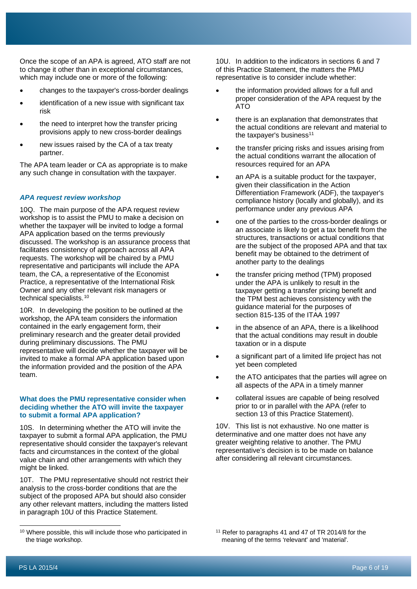Once the scope of an APA is agreed, ATO staff are not to change it other than in exceptional circumstances, which may include one or more of the following:

- changes to the taxpayer's cross-border dealings
- identification of a new issue with significant tax risk
- the need to interpret how the transfer pricing provisions apply to new cross-border dealings
- new issues raised by the CA of a tax treaty partner.

The APA team leader or CA as appropriate is to make any such change in consultation with the taxpayer.

# *APA request review workshop*

10Q. The main purpose of the APA request review workshop is to assist the PMU to make a decision on whether the taxpayer will be invited to lodge a formal APA application based on the terms previously discussed. The workshop is an assurance process that facilitates consistency of approach across all APA requests. The workshop will be chaired by a PMU representative and participants will include the APA team, the CA, a representative of the Economist Practice, a representative of the International Risk Owner and any other relevant risk managers or technical specialists.[10](#page-6-0)

10R. In developing the position to be outlined at the workshop, the APA team considers the information contained in the early engagement form, their preliminary research and the greater detail provided during preliminary discussions. The PMU representative will decide whether the taxpayer will be invited to make a formal APA application based upon the information provided and the position of the APA team.

#### **What does the PMU representative consider when deciding whether the ATO will invite the taxpayer to submit a formal APA application?**

10S. In determining whether the ATO will invite the taxpayer to submit a formal APA application, the PMU representative should consider the taxpayer's relevant facts and circumstances in the context of the global value chain and other arrangements with which they might be linked.

10T. The PMU representative should not restrict their analysis to the cross-border conditions that are the subject of the proposed APA but should also consider any other relevant matters, including the matters listed in paragraph 10U of this Practice Statement.

10U. In addition to the indicators in sections 6 and 7 of this Practice Statement, the matters the PMU representative is to consider include whether:

- the information provided allows for a full and proper consideration of the APA request by the ATO
- there is an explanation that demonstrates that the actual conditions are relevant and material to the taxpayer's business $11$
- the transfer pricing risks and issues arising from the actual conditions warrant the allocation of resources required for an APA
- an APA is a suitable product for the taxpayer, given their classification in the Action Differentiation Framework (ADF), the taxpayer's compliance history (locally and globally), and its performance under any previous APA
- one of the parties to the cross-border dealings or an associate is likely to get a tax benefit from the structures, transactions or actual conditions that are the subject of the proposed APA and that tax benefit may be obtained to the detriment of another party to the dealings
- the transfer pricing method (TPM) proposed under the APA is unlikely to result in the taxpayer getting a transfer pricing benefit and the TPM best achieves consistency with the guidance material for the purposes of section 815-135 of the ITAA 1997
- in the absence of an APA, there is a likelihood that the actual conditions may result in double taxation or in a dispute
- a significant part of a limited life project has not yet been completed
- the ATO anticipates that the parties will agree on all aspects of the APA in a timely manner
- collateral issues are capable of being resolved prior to or in parallel with the APA (refer to section 13 of this Practice Statement).

10V. This list is not exhaustive. No one matter is determinative and one matter does not have any greater weighting relative to another. The PMU representative's decision is to be made on balance after considering all relevant circumstances.

<span id="page-6-0"></span><sup>&</sup>lt;sup>10</sup> Where possible, this will include those who participated in the triage workshop.

<sup>11</sup> Refer to paragraphs 41 and 47 of TR 2014/8 for the meaning of the terms 'relevant' and 'material'.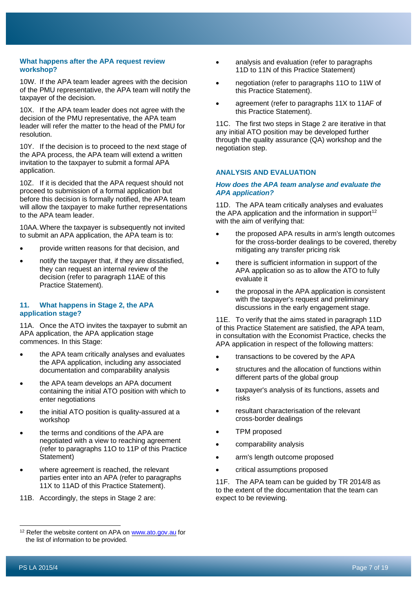# **What happens after the APA request review workshop?**

10W. If the APA team leader agrees with the decision of the PMU representative, the APA team will notify the taxpayer of the decision.

10X. If the APA team leader does not agree with the decision of the PMU representative, the APA team leader will refer the matter to the head of the PMU for resolution.

10Y. If the decision is to proceed to the next stage of the APA process, the APA team will extend a written invitation to the taxpayer to submit a formal APA application.

10Z. If it is decided that the APA request should not proceed to submission of a formal application but before this decision is formally notified, the APA team will allow the taxpayer to make further representations to the APA team leader.

10AA.Where the taxpayer is subsequently not invited to submit an APA application, the APA team is to:

- provide written reasons for that decision, and
- notify the taxpayer that, if they are dissatisfied, they can request an internal review of the decision (refer to paragraph 11AE of this Practice Statement).

## **11. What happens in Stage 2, the APA application stage?**

11A. Once the ATO invites the taxpayer to submit an APA application, the APA application stage commences. In this Stage:

- the APA team critically analyses and evaluates the APA application, including any associated documentation and comparability analysis
- the APA team develops an APA document containing the initial ATO position with which to enter negotiations
- the initial ATO position is quality-assured at a workshop
- the terms and conditions of the APA are negotiated with a view to reaching agreement (refer to paragraphs 11O to 11P of this Practice Statement)
- where agreement is reached, the relevant parties enter into an APA (refer to paragraphs 11X to 11AD of this Practice Statement).
- 11B. Accordingly, the steps in Stage 2 are:
- analysis and evaluation (refer to paragraphs 11D to 11N of this Practice Statement)
- negotiation (refer to paragraphs 11O to 11W of this Practice Statement).
- agreement (refer to paragraphs 11X to 11AF of this Practice Statement).

11C. The first two steps in Stage 2 are iterative in that any initial ATO position may be developed further through the quality assurance (QA) workshop and the negotiation step.

## **ANALYSIS AND EVALUATION**

#### *How does the APA team analyse and evaluate the APA application?*

11D. The APA team critically analyses and evaluates the APA application and the information in support<sup>[12](#page-7-0)</sup> with the aim of verifying that:

- the proposed APA results in arm's length outcomes for the cross-border dealings to be covered, thereby mitigating any transfer pricing risk
- there is sufficient information in support of the APA application so as to allow the ATO to fully evaluate it
- the proposal in the APA application is consistent with the taxpayer's request and preliminary discussions in the early engagement stage.

11E. To verify that the aims stated in paragraph 11D of this Practice Statement are satisfied, the APA team, in consultation with the Economist Practice, checks the APA application in respect of the following matters:

- transactions to be covered by the APA
- structures and the allocation of functions within different parts of the global group
- taxpayer's analysis of its functions, assets and risks
- resultant characterisation of the relevant cross-border dealings
- TPM proposed
- comparability analysis
- arm's length outcome proposed
- critical assumptions proposed

11F. The APA team can be guided by TR 2014/8 as to the extent of the documentation that the team can expect to be reviewing.

<span id="page-7-0"></span><sup>&</sup>lt;sup>12</sup> Refer the website content on APA o[n www.ato.gov.au](http://www.ato.gov.au/) for the list of information to be provided.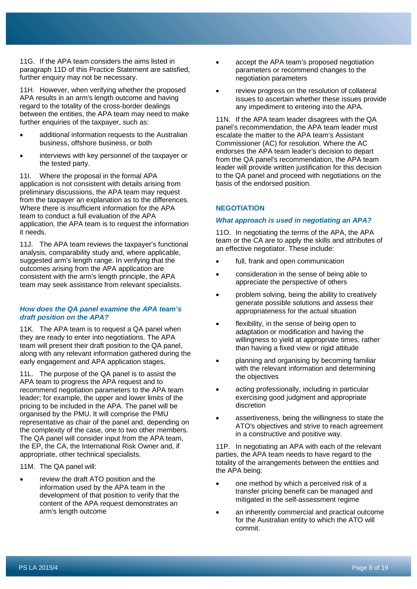11G. If the APA team considers the aims listed in paragraph 11D of this Practice Statement are satisfied, further enquiry may not be necessary.

11H. However, when verifying whether the proposed APA results in an arm's length outcome and having regard to the totality of the cross-border dealings between the entities, the APA team may need to make further enquiries of the taxpayer, such as:

- additional information requests to the Australian business, offshore business, or both
- interviews with key personnel of the taxpayer or the tested party.

11I. Where the proposal in the formal APA application is not consistent with details arising from preliminary discussions, the APA team may request from the taxpayer an explanation as to the differences. Where there is insufficient information for the APA team to conduct a full evaluation of the APA application, the APA team is to request the information it needs.

11J. The APA team reviews the taxpayer's functional analysis, comparability study and, where applicable, suggested arm's length range. In verifying that the outcomes arising from the APA application are consistent with the arm's length principle, the APA team may seek assistance from relevant specialists.

## *How does the QA panel examine the APA team's draft position on the APA?*

11K. The APA team is to request a QA panel when they are ready to enter into negotiations. The APA team will present their draft position to the QA panel, along with any relevant information gathered during the early engagement and APA application stages.

11L. The purpose of the QA panel is to assist the APA team to progress the APA request and to recommend negotiation parameters to the APA team leader; for example, the upper and lower limits of the pricing to be included in the APA. The panel will be organised by the PMU. It will comprise the PMU representative as chair of the panel and, depending on the complexity of the case, one to two other members. The QA panel will consider input from the APA team, the EP, the CA, the International Risk Owner and, if appropriate, other technical specialists.

11M. The QA panel will:

review the draft ATO position and the information used by the APA team in the development of that position to verify that the content of the APA request demonstrates an arm's length outcome

- accept the APA team's proposed negotiation parameters or recommend changes to the negotiation parameters
- review progress on the resolution of collateral issues to ascertain whether these issues provide any impediment to entering into the APA.

11N. If the APA team leader disagrees with the QA panel's recommendation, the APA team leader must escalate the matter to the APA team's Assistant Commissioner (AC) for resolution. Where the AC endorses the APA team leader's decision to depart from the QA panel's recommendation, the APA team leader will provide written justification for this decision to the QA panel and proceed with negotiations on the basis of the endorsed position.

# **NEGOTIATION**

#### *What approach is used in negotiating an APA?*

11O. In negotiating the terms of the APA, the APA team or the CA are to apply the skills and attributes of an effective negotiator. These include:

- full, frank and open communication
- consideration in the sense of being able to appreciate the perspective of others
- problem solving, being the ability to creatively generate possible solutions and assess their appropriateness for the actual situation
- flexibility, in the sense of being open to adaptation or modification and having the willingness to yield at appropriate times, rather than having a fixed view or rigid attitude
- planning and organising by becoming familiar with the relevant information and determining the objectives
- acting professionally, including in particular exercising good judgment and appropriate discretion
- assertiveness, being the willingness to state the ATO's objectives and strive to reach agreement in a constructive and positive way.

11P. In negotiating an APA with each of the relevant parties, the APA team needs to have regard to the totality of the arrangements between the entities and the APA being:

- one method by which a perceived risk of a transfer pricing benefit can be managed and mitigated in the self-assessment regime
- an inherently commercial and practical outcome for the Australian entity to which the ATO will commit.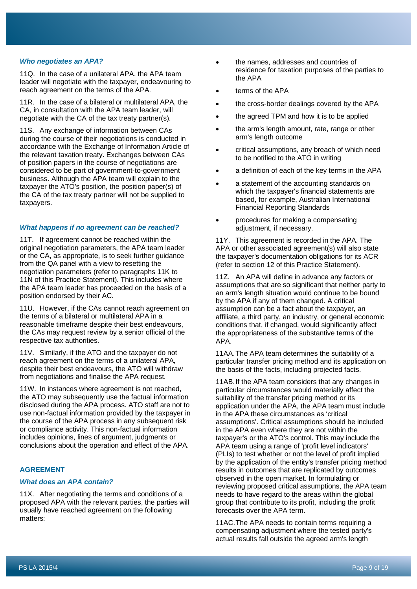#### *Who negotiates an APA?*

11Q. In the case of a unilateral APA, the APA team leader will negotiate with the taxpayer, endeavouring to reach agreement on the terms of the APA.

11R. In the case of a bilateral or multilateral APA, the CA, in consultation with the APA team leader, will negotiate with the CA of the tax treaty partner(s).

11S. Any exchange of information between CAs during the course of their negotiations is conducted in accordance with the Exchange of Information Article of the relevant taxation treaty. Exchanges between CAs of position papers in the course of negotiations are considered to be part of government-to-government business. Although the APA team will explain to the taxpayer the ATO's position, the position paper(s) of the CA of the tax treaty partner will not be supplied to taxpayers.

# *What happens if no agreement can be reached?*

11T. If agreement cannot be reached within the original negotiation parameters, the APA team leader or the CA, as appropriate, is to seek further guidance from the QA panel with a view to resetting the negotiation parameters (refer to paragraphs 11K to 11N of this Practice Statement). This includes where the APA team leader has proceeded on the basis of a position endorsed by their AC.

11U. However, if the CAs cannot reach agreement on the terms of a bilateral or multilateral APA in a reasonable timeframe despite their best endeavours, the CAs may request review by a senior official of the respective tax authorities.

11V. Similarly, if the ATO and the taxpayer do not reach agreement on the terms of a unilateral APA, despite their best endeavours, the ATO will withdraw from negotiations and finalise the APA request.

11W. In instances where agreement is not reached, the ATO may subsequently use the factual information disclosed during the APA process. ATO staff are not to use non-factual information provided by the taxpayer in the course of the APA process in any subsequent risk or compliance activity. This non-factual information includes opinions, lines of argument, judgments or conclusions about the operation and effect of the APA.

# **AGREEMENT**

#### *What does an APA contain?*

11X. After negotiating the terms and conditions of a proposed APA with the relevant parties, the parties will usually have reached agreement on the following matters:

- the names, addresses and countries of residence for taxation purposes of the parties to the APA
- terms of the APA
- the cross-border dealings covered by the APA
- the agreed TPM and how it is to be applied
- the arm's length amount, rate, range or other arm's length outcome
- critical assumptions, any breach of which need to be notified to the ATO in writing
- a definition of each of the key terms in the APA
- a statement of the accounting standards on which the taxpayer's financial statements are based, for example, Australian International Financial Reporting Standards
- procedures for making a compensating adjustment, if necessary.

11Y. This agreement is recorded in the APA. The APA or other associated agreement(s) will also state the taxpayer's documentation obligations for its ACR (refer to section 12 of this Practice Statement).

11Z. An APA will define in advance any factors or assumptions that are so significant that neither party to an arm's length situation would continue to be bound by the APA if any of them changed. A critical assumption can be a fact about the taxpayer, an affiliate, a third party, an industry, or general economic conditions that, if changed, would significantly affect the appropriateness of the substantive terms of the APA.

11AA.The APA team determines the suitability of a particular transfer pricing method and its application on the basis of the facts, including projected facts.

11AB.If the APA team considers that any changes in particular circumstances would materially affect the suitability of the transfer pricing method or its application under the APA, the APA team must include in the APA these circumstances as 'critical assumptions'. Critical assumptions should be included in the APA even where they are not within the taxpayer's or the ATO's control. This may include the APA team using a range of 'profit level indicators' (PLIs) to test whether or not the level of profit implied by the application of the entity's transfer pricing method results in outcomes that are replicated by outcomes observed in the open market. In formulating or reviewing proposed critical assumptions, the APA team needs to have regard to the areas within the global group that contribute to its profit, including the profit forecasts over the APA term.

11AC.The APA needs to contain terms requiring a compensating adjustment where the tested party's actual results fall outside the agreed arm's length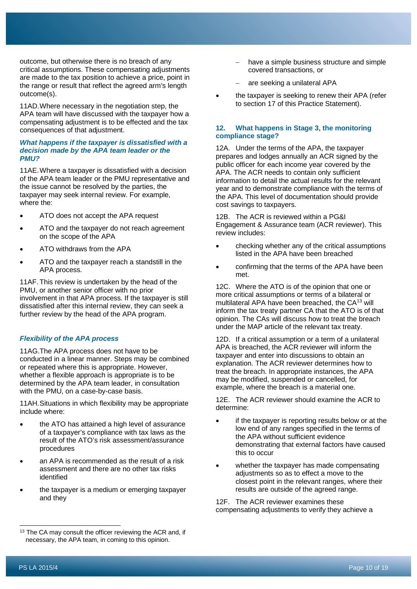outcome, but otherwise there is no breach of any critical assumptions. These compensating adjustments are made to the tax position to achieve a price, point in the range or result that reflect the agreed arm's length outcome(s).

11AD.Where necessary in the negotiation step, the APA team will have discussed with the taxpayer how a compensating adjustment is to be effected and the tax consequences of that adjustment.

## *What happens if the taxpayer is dissatisfied with a decision made by the APA team leader or the PMU?*

11AE.Where a taxpayer is dissatisfied with a decision of the APA team leader or the PMU representative and the issue cannot be resolved by the parties, the taxpayer may seek internal review. For example, where the:

- ATO does not accept the APA request
- ATO and the taxpayer do not reach agreement on the scope of the APA
- ATO withdraws from the APA
- ATO and the taxpayer reach a standstill in the APA process.

11AF.This review is undertaken by the head of the PMU, or another senior officer with no prior involvement in that APA process. If the taxpayer is still dissatisfied after this internal review, they can seek a further review by the head of the APA program.

## *Flexibility of the APA process*

11AG.The APA process does not have to be conducted in a linear manner. Steps may be combined or repeated where this is appropriate. However, whether a flexible approach is appropriate is to be determined by the APA team leader, in consultation with the PMU, on a case-by-case basis.

11AH.Situations in which flexibility may be appropriate include where:

- the ATO has attained a high level of assurance of a taxpayer's compliance with tax laws as the result of the ATO's risk assessment/assurance procedures
- an APA is recommended as the result of a risk assessment and there are no other tax risks identified
- the taxpayer is a medium or emerging taxpayer and they
- have a simple business structure and simple covered transactions, or
- are seeking a unilateral APA
- the taxpayer is seeking to renew their APA (refer to section 17 of this Practice Statement).

# **12. What happens in Stage 3, the monitoring compliance stage?**

12A. Under the terms of the APA, the taxpayer prepares and lodges annually an ACR signed by the public officer for each income year covered by the APA. The ACR needs to contain only sufficient information to detail the actual results for the relevant year and to demonstrate compliance with the terms of the APA. This level of documentation should provide cost savings to taxpayers.

12B. The ACR is reviewed within a PG&I Engagement & Assurance team (ACR reviewer). This review includes:

- checking whether any of the critical assumptions listed in the APA have been breached
- confirming that the terms of the APA have been met.

12C. Where the ATO is of the opinion that one or more critical assumptions or terms of a bilateral or multilateral APA have been breached, the CA<sup>[13](#page-10-0)</sup> will inform the tax treaty partner CA that the ATO is of that opinion. The CAs will discuss how to treat the breach under the MAP article of the relevant tax treaty.

12D. If a critical assumption or a term of a unilateral APA is breached, the ACR reviewer will inform the taxpayer and enter into discussions to obtain an explanation. The ACR reviewer determines how to treat the breach. In appropriate instances, the APA may be modified, suspended or cancelled, for example, where the breach is a material one.

12E. The ACR reviewer should examine the ACR to determine:

- if the taxpayer is reporting results below or at the low end of any ranges specified in the terms of the APA without sufficient evidence demonstrating that external factors have caused this to occur
- whether the taxpayer has made compensating adjustments so as to effect a move to the closest point in the relevant ranges, where their results are outside of the agreed range.

12F. The ACR reviewer examines these compensating adjustments to verify they achieve a

<span id="page-10-0"></span>The CA may consult the officer reviewing the ACR and, if necessary, the APA team, in coming to this opinion.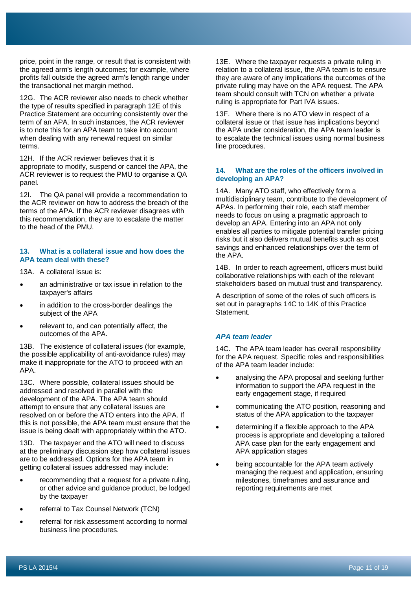price, point in the range, or result that is consistent with the agreed arm's length outcomes; for example, where profits fall outside the agreed arm's length range under the transactional net margin method.

12G. The ACR reviewer also needs to check whether the type of results specified in paragraph 12E of this Practice Statement are occurring consistently over the term of an APA. In such instances, the ACR reviewer is to note this for an APA team to take into account when dealing with any renewal request on similar terms.

12H. If the ACR reviewer believes that it is appropriate to modify, suspend or cancel the APA, the ACR reviewer is to request the PMU to organise a QA panel.

12I. The QA panel will provide a recommendation to the ACR reviewer on how to address the breach of the terms of the APA. If the ACR reviewer disagrees with this recommendation, they are to escalate the matter to the head of the PMU.

# **13. What is a collateral issue and how does the APA team deal with these?**

13A. A collateral issue is:

- an administrative or tax issue in relation to the taxpayer's affairs
- in addition to the cross-border dealings the subject of the APA
- relevant to, and can potentially affect, the outcomes of the APA.

13B. The existence of collateral issues (for example, the possible applicability of anti-avoidance rules) may make it inappropriate for the ATO to proceed with an APA.

13C. Where possible, collateral issues should be addressed and resolved in parallel with the development of the APA. The APA team should attempt to ensure that any collateral issues are resolved on or before the ATO enters into the APA. If this is not possible, the APA team must ensure that the issue is being dealt with appropriately within the ATO.

13D. The taxpayer and the ATO will need to discuss at the preliminary discussion step how collateral issues are to be addressed. Options for the APA team in getting collateral issues addressed may include:

- recommending that a request for a private ruling, or other advice and guidance product, be lodged by the taxpayer
- referral to Tax Counsel Network (TCN)
- referral for risk assessment according to normal business line procedures.

13E. Where the taxpayer requests a private ruling in relation to a collateral issue, the APA team is to ensure they are aware of any implications the outcomes of the private ruling may have on the APA request. The APA team should consult with TCN on whether a private ruling is appropriate for Part IVA issues.

13F. Where there is no ATO view in respect of a collateral issue or that issue has implications beyond the APA under consideration, the APA team leader is to escalate the technical issues using normal business line procedures.

# **14. What are the roles of the officers involved in developing an APA?**

14A. Many ATO staff, who effectively form a multidisciplinary team, contribute to the development of APAs. In performing their role, each staff member needs to focus on using a pragmatic approach to develop an APA. Entering into an APA not only enables all parties to mitigate potential transfer pricing risks but it also delivers mutual benefits such as cost savings and enhanced relationships over the term of the APA.

14B. In order to reach agreement, officers must build collaborative relationships with each of the relevant stakeholders based on mutual trust and transparency.

A description of some of the roles of such officers is set out in paragraphs 14C to 14K of this Practice Statement.

# *APA team leader*

14C. The APA team leader has overall responsibility for the APA request. Specific roles and responsibilities of the APA team leader include:

- analysing the APA proposal and seeking further information to support the APA request in the early engagement stage, if required
- communicating the ATO position, reasoning and status of the APA application to the taxpayer
- determining if a flexible approach to the APA process is appropriate and developing a tailored APA case plan for the early engagement and APA application stages
- being accountable for the APA team actively managing the request and application, ensuring milestones, timeframes and assurance and reporting requirements are met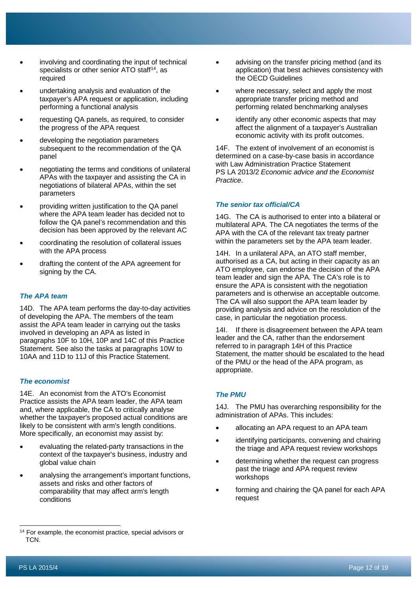- involving and coordinating the input of technical specialists or other senior ATO staff<sup>14</sup>, as required
- undertaking analysis and evaluation of the taxpayer's APA request or application, including performing a functional analysis
- requesting QA panels, as required, to consider the progress of the APA request
- developing the negotiation parameters subsequent to the recommendation of the QA panel
- negotiating the terms and conditions of unilateral APAs with the taxpayer and assisting the CA in negotiations of bilateral APAs, within the set parameters
- providing written justification to the QA panel where the APA team leader has decided not to follow the QA panel's recommendation and this decision has been approved by the relevant AC
- coordinating the resolution of collateral issues with the APA process
- drafting the content of the APA agreement for signing by the CA.

# *The APA team*

14D. The APA team performs the day-to-day activities of developing the APA. The members of the team assist the APA team leader in carrying out the tasks involved in developing an APA as listed in paragraphs 10F to 10H, 10P and 14C of this Practice Statement. See also the tasks at paragraphs 10W to 10AA and 11D to 11J of this Practice Statement.

# *The economist*

14E. An economist from the ATO's Economist Practice assists the APA team leader, the APA team and, where applicable, the CA to critically analyse whether the taxpayer's proposed actual conditions are likely to be consistent with arm's length conditions. More specifically, an economist may assist by:

- evaluating the related-party transactions in the context of the taxpayer's business, industry and global value chain
- analysing the arrangement's important functions, assets and risks and other factors of comparability that may affect arm's length conditions
- advising on the transfer pricing method (and its application) that best achieves consistency with the OECD Guidelines
- where necessary, select and apply the most appropriate transfer pricing method and performing related benchmarking analyses
- identify any other economic aspects that may affect the alignment of a taxpayer's Australian economic activity with its profit outcomes.

14F. The extent of involvement of an economist is determined on a case-by-case basis in accordance with Law Administration Practice Statement PS LA 2013/2 *Economic advice and the Economist Practice*.

# *The senior tax official/CA*

14G. The CA is authorised to enter into a bilateral or multilateral APA. The CA negotiates the terms of the APA with the CA of the relevant tax treaty partner within the parameters set by the APA team leader.

14H. In a unilateral APA, an ATO staff member, authorised as a CA, but acting in their capacity as an ATO employee, can endorse the decision of the APA team leader and sign the APA. The CA's role is to ensure the APA is consistent with the negotiation parameters and is otherwise an acceptable outcome. The CA will also support the APA team leader by providing analysis and advice on the resolution of the case, in particular the negotiation process.

14I. If there is disagreement between the APA team leader and the CA, rather than the endorsement referred to in paragraph 14H of this Practice Statement, the matter should be escalated to the head of the PMU or the head of the APA program, as appropriate.

# *The PMU*

14J. The PMU has overarching responsibility for the administration of APAs. This includes:

- allocating an APA request to an APA team
- identifying participants, convening and chairing the triage and APA request review workshops
- determining whether the request can progress past the triage and APA request review workshops
- forming and chairing the QA panel for each APA request

<span id="page-12-0"></span><sup>&</sup>lt;sup>14</sup> For example, the economist practice, special advisors or TCN.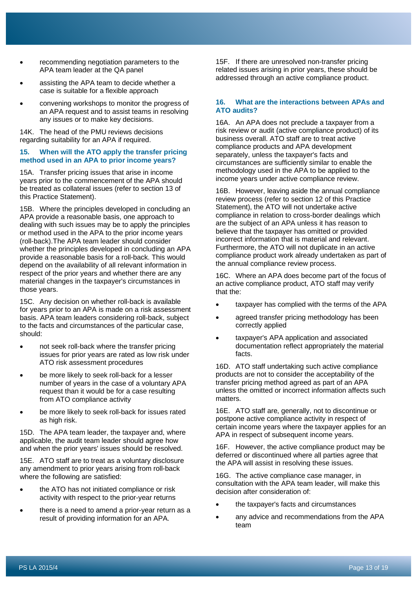- recommending negotiation parameters to the APA team leader at the QA panel
- assisting the APA team to decide whether a case is suitable for a flexible approach
- convening workshops to monitor the progress of an APA request and to assist teams in resolving any issues or to make key decisions.

14K. The head of the PMU reviews decisions regarding suitability for an APA if required.

## **15. When will the ATO apply the transfer pricing method used in an APA to prior income years?**

15A. Transfer pricing issues that arise in income years prior to the commencement of the APA should be treated as collateral issues (refer to section 13 of this Practice Statement).

15B. Where the principles developed in concluding an APA provide a reasonable basis, one approach to dealing with such issues may be to apply the principles or method used in the APA to the prior income years (roll-back).The APA team leader should consider whether the principles developed in concluding an APA provide a reasonable basis for a roll-back. This would depend on the availability of all relevant information in respect of the prior years and whether there are any material changes in the taxpayer's circumstances in those years.

15C. Any decision on whether roll-back is available for years prior to an APA is made on a risk assessment basis. APA team leaders considering roll-back, subject to the facts and circumstances of the particular case, should:

- not seek roll-back where the transfer pricing issues for prior years are rated as low risk under ATO risk assessment procedures
- be more likely to seek roll-back for a lesser number of years in the case of a voluntary APA request than it would be for a case resulting from ATO compliance activity
- be more likely to seek roll-back for issues rated as high risk.

15D. The APA team leader, the taxpayer and, where applicable, the audit team leader should agree how and when the prior years' issues should be resolved.

15E. ATO staff are to treat as a voluntary disclosure any amendment to prior years arising from roll-back where the following are satisfied:

- the ATO has not initiated compliance or risk activity with respect to the prior-year returns
- there is a need to amend a prior-year return as a result of providing information for an APA.

15F. If there are unresolved non-transfer pricing related issues arising in prior years, these should be addressed through an active compliance product.

# **16. What are the interactions between APAs and ATO audits?**

16A. An APA does not preclude a taxpayer from a risk review or audit (active compliance product) of its business overall. ATO staff are to treat active compliance products and APA development separately, unless the taxpayer's facts and circumstances are sufficiently similar to enable the methodology used in the APA to be applied to the income years under active compliance review.

16B. However, leaving aside the annual compliance review process (refer to section 12 of this Practice Statement), the ATO will not undertake active compliance in relation to cross-border dealings which are the subject of an APA unless it has reason to believe that the taxpayer has omitted or provided incorrect information that is material and relevant. Furthermore, the ATO will not duplicate in an active compliance product work already undertaken as part of the annual compliance review process.

16C. Where an APA does become part of the focus of an active compliance product, ATO staff may verify that the:

- taxpayer has complied with the terms of the APA
- agreed transfer pricing methodology has been correctly applied
- taxpayer's APA application and associated documentation reflect appropriately the material facts.

16D. ATO staff undertaking such active compliance products are not to consider the acceptability of the transfer pricing method agreed as part of an APA unless the omitted or incorrect information affects such matters.

16E. ATO staff are, generally, not to discontinue or postpone active compliance activity in respect of certain income years where the taxpayer applies for an APA in respect of subsequent income years.

16F. However, the active compliance product may be deferred or discontinued where all parties agree that the APA will assist in resolving these issues.

16G. The active compliance case manager, in consultation with the APA team leader, will make this decision after consideration of:

- the taxpayer's facts and circumstances
- any advice and recommendations from the APA team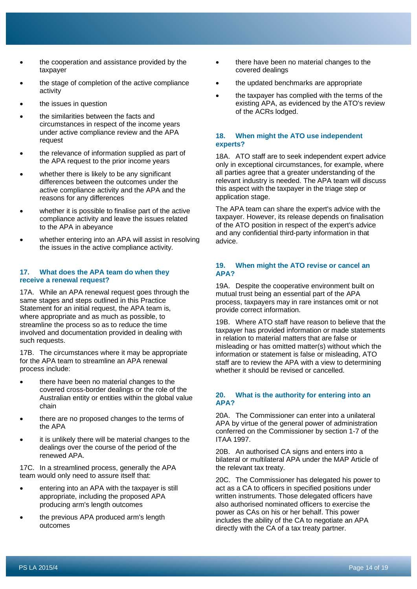- the cooperation and assistance provided by the taxpayer
- the stage of completion of the active compliance activity
- the issues in question
- the similarities between the facts and circumstances in respect of the income years under active compliance review and the APA request
- the relevance of information supplied as part of the APA request to the prior income years
- whether there is likely to be any significant differences between the outcomes under the active compliance activity and the APA and the reasons for any differences
- whether it is possible to finalise part of the active compliance activity and leave the issues related to the APA in abeyance
- whether entering into an APA will assist in resolving the issues in the active compliance activity.

# **17. What does the APA team do when they receive a renewal request?**

17A. While an APA renewal request goes through the same stages and steps outlined in this Practice Statement for an initial request, the APA team is, where appropriate and as much as possible, to streamline the process so as to reduce the time involved and documentation provided in dealing with such requests.

17B. The circumstances where it may be appropriate for the APA team to streamline an APA renewal process include:

- there have been no material changes to the covered cross-border dealings or the role of the Australian entity or entities within the global value chain
- there are no proposed changes to the terms of the APA
- it is unlikely there will be material changes to the dealings over the course of the period of the renewed APA.

17C. In a streamlined process, generally the APA team would only need to assure itself that:

- entering into an APA with the taxpayer is still appropriate, including the proposed APA producing arm's length outcomes
- the previous APA produced arm's length outcomes
- there have been no material changes to the covered dealings
- the updated benchmarks are appropriate
- the taxpayer has complied with the terms of the existing APA, as evidenced by the ATO's review of the ACRs lodged.

## **18. When might the ATO use independent experts?**

18A. ATO staff are to seek independent expert advice only in exceptional circumstances, for example, where all parties agree that a greater understanding of the relevant industry is needed. The APA team will discuss this aspect with the taxpayer in the triage step or application stage.

The APA team can share the expert's advice with the taxpayer. However, its release depends on finalisation of the ATO position in respect of the expert's advice and any confidential third-party information in that advice.

# **19. When might the ATO revise or cancel an APA?**

19A. Despite the cooperative environment built on mutual trust being an essential part of the APA process, taxpayers may in rare instances omit or not provide correct information.

19B. Where ATO staff have reason to believe that the taxpayer has provided information or made statements in relation to material matters that are false or misleading or has omitted matter(s) without which the information or statement is false or misleading, ATO staff are to review the APA with a view to determining whether it should be revised or cancelled.

# **20. What is the authority for entering into an APA?**

20A. The Commissioner can enter into a unilateral APA by virtue of the general power of administration conferred on the Commissioner by section 1-7 of the ITAA 1997.

20B. An authorised CA signs and enters into a bilateral or multilateral APA under the MAP Article of the relevant tax treaty.

20C. The Commissioner has delegated his power to act as a CA to officers in specified positions under written instruments. Those delegated officers have also authorised nominated officers to exercise the power as CAs on his or her behalf. This power includes the ability of the CA to negotiate an APA directly with the CA of a tax treaty partner.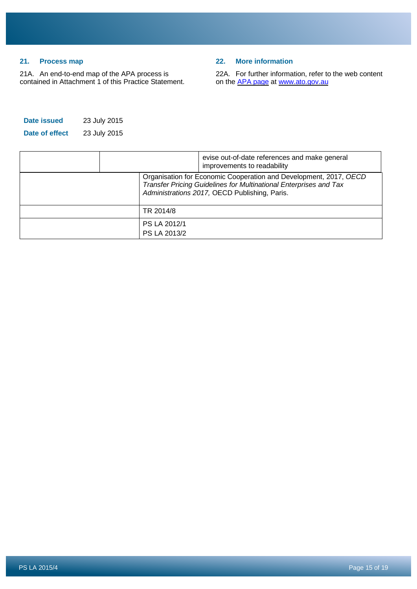# **21. Process map**

21A. An end-to-end map of the APA process is contained in Attachment 1 of this Practice Statement.

# **22. More information**

22A. For further information, refer to the web content on the [APA page](https://www.ato.gov.au/business/international-tax-for-business/in-detail/advance-pricing-arrangements/advance-pricing-arrangements/) at [www.ato.gov.au](http://www.ato.gov.au/)

| Date issued    | 23 July 2015 |
|----------------|--------------|
| Date of effect | 23 July 2015 |

|  | evise out-of-date references and make general<br>improvements to readability                                                                                                            |
|--|-----------------------------------------------------------------------------------------------------------------------------------------------------------------------------------------|
|  | Organisation for Economic Cooperation and Development, 2017, OECD<br>Transfer Pricing Guidelines for Multinational Enterprises and Tax<br>Administrations 2017, OECD Publishing, Paris. |
|  | TR 2014/8                                                                                                                                                                               |
|  | PS LA 2012/1<br>PS LA 2013/2                                                                                                                                                            |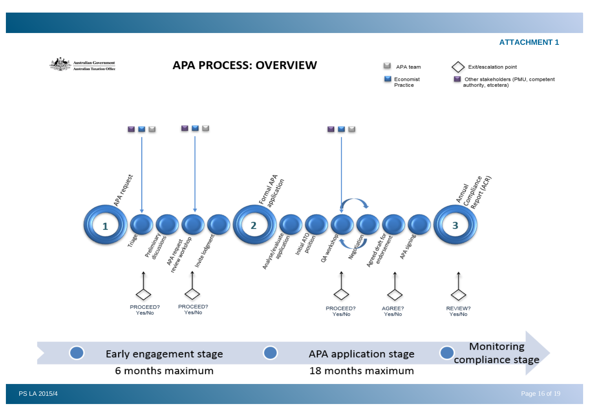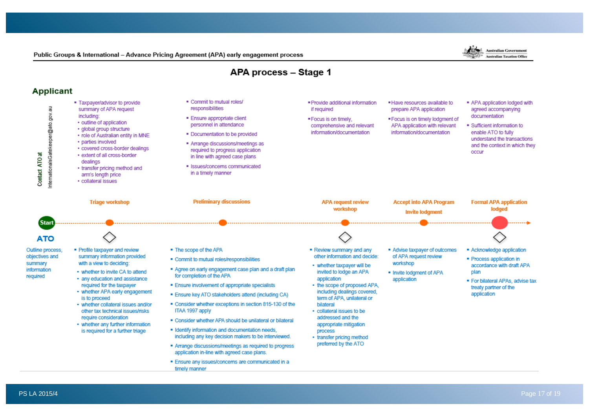APA process - Stage 1 **Applicant** . Commit to mutual roles/ . Taxpaver/advisor to provide . Provide additional information . Have resources available to . APA application lodged with responsibilities nternationalsGatekeeper@ato.gov.au summary of APA request if required prepare APA application agreed accompanying including: documentation · Ensure appropriate client . Focus is on timely. . Focus is on timely lodgment of • outline of application personnel in attendance comprehensive and relevant APA application with relevant · Sufficient information to · global group structure information/documentation information/documentation enable ATO to fully . Documentation to be provided · role of Australian entity in MNE understand the transactions · parties involved - Arrange discussions/meetings as and the context in which they • covered cross-border dealings required to progress application occur Contact ATO at · extent of all cross-border in line with agreed case plans dealings · Issues/concerns communicated • transfer pricing method and in a timely manner arm's length price · collateral issues **Preliminary discussions Triage workshop APA request review Accept into APA Program Formal APA application** workshop lodged **Invite lodgment** (Start) **ATO** Outline process, · Profile taxpayer and review . The scope of the APA . Review summary and any Advise taxpayer of outcomes - Acknowledge application objectives and summary information provided other information and decide: of APA request review . Commit to mutual roles/responsibilities · Process application in summary with a view to deciding: workshop • whether taxpayer will be accordance with draft APA information Agree on early engagement case plan and a draft plan • whether to invite CA to attend invited to lodge an APA . Invite lodgment of APA plan for completion of the APA required • any education and assistance application application · For bilateral APAs, advise tax • the scope of proposed APA, required for the taxpayer **Ensure involvement of appropriate specialists** treaty partner of the including dealings covered. • whether APA early engagement application . Ensure key ATO stakeholders attend (including CA) is to proceed term of APA, unilateral or " Consider whether exceptions in section 815-130 of the - whether collateral issues and/or bilateral other tax technical issues/risks ITAA 1997 apply · collateral issues to be require consideration addressed and the • Consider whether APA should be unilateral or bilateral • whether any further information appropriate mitigation . Identify information and documentation needs, is required for a further triage process including any key decision makers to be interviewed. • transfer pricing method preferred by the ATO Arrange discussions/meetings as required to progress application in-line with agreed case plans. · Ensure any issues/concerns are communicated in a timely manner

Public Groups & International - Advance Pricing Agreement (APA) early engagement process

Australian Government

**Australian Taxation Office**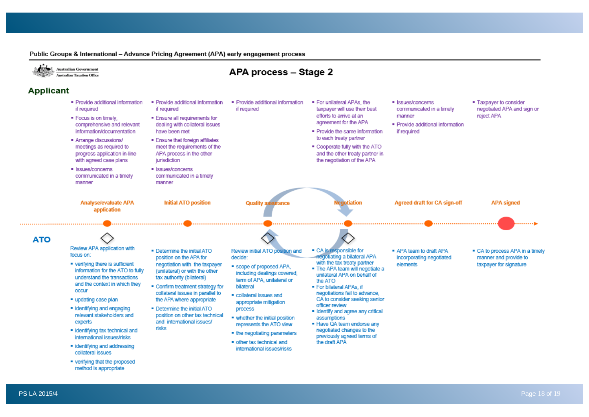

Public Groups & International - Advance Pricing Agreement (APA) early engagement process